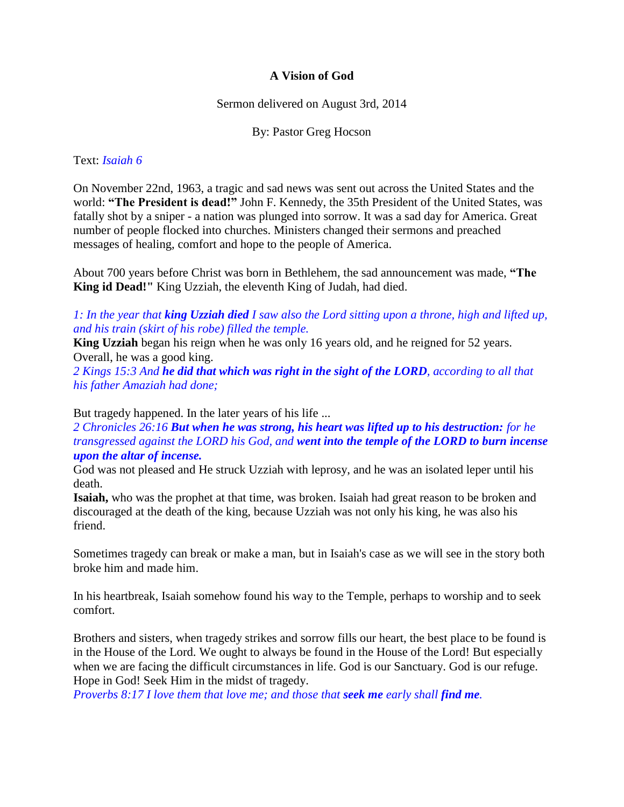## **A Vision of God**

Sermon delivered on August 3rd, 2014

By: Pastor Greg Hocson

### Text: *Isaiah 6*

On November 22nd, 1963, a tragic and sad news was sent out across the United States and the world: **"The President is dead!"** John F. Kennedy, the 35th President of the United States, was fatally shot by a sniper - a nation was plunged into sorrow. It was a sad day for America. Great number of people flocked into churches. Ministers changed their sermons and preached messages of healing, comfort and hope to the people of America.

About 700 years before Christ was born in Bethlehem, the sad announcement was made, **"The King id Dead!"** King Uzziah, the eleventh King of Judah, had died.

*1: In the year that king Uzziah died I saw also the Lord sitting upon a throne, high and lifted up, and his train (skirt of his robe) filled the temple.* 

**King Uzziah** began his reign when he was only 16 years old, and he reigned for 52 years. Overall, he was a good king.

*2 Kings 15:3 And he did that which was right in the sight of the LORD, according to all that his father Amaziah had done;* 

But tragedy happened. In the later years of his life ...

*2 Chronicles 26:16 But when he was strong, his heart was lifted up to his destruction: for he transgressed against the LORD his God, and went into the temple of the LORD to burn incense upon the altar of incense.* 

God was not pleased and He struck Uzziah with leprosy, and he was an isolated leper until his death.

**Isaiah,** who was the prophet at that time, was broken. Isaiah had great reason to be broken and discouraged at the death of the king, because Uzziah was not only his king, he was also his friend.

Sometimes tragedy can break or make a man, but in Isaiah's case as we will see in the story both broke him and made him.

In his heartbreak, Isaiah somehow found his way to the Temple, perhaps to worship and to seek comfort.

Brothers and sisters, when tragedy strikes and sorrow fills our heart, the best place to be found is in the House of the Lord. We ought to always be found in the House of the Lord! But especially when we are facing the difficult circumstances in life. God is our Sanctuary. God is our refuge. Hope in God! Seek Him in the midst of tragedy.

*Proverbs 8:17 I love them that love me; and those that seek me early shall find me.*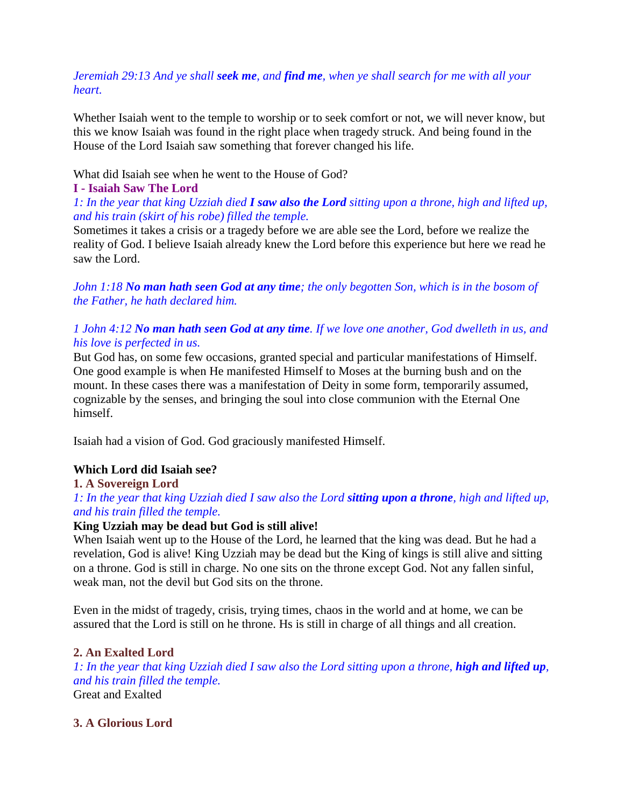# *Jeremiah 29:13 And ye shall seek me, and find me, when ye shall search for me with all your heart.*

Whether Isaiah went to the temple to worship or to seek comfort or not, we will never know, but this we know Isaiah was found in the right place when tragedy struck. And being found in the House of the Lord Isaiah saw something that forever changed his life.

What did Isaiah see when he went to the House of God?

## **I - Isaiah Saw The Lord**

## *1: In the year that king Uzziah died I saw also the Lord sitting upon a throne, high and lifted up, and his train (skirt of his robe) filled the temple.*

Sometimes it takes a crisis or a tragedy before we are able see the Lord, before we realize the reality of God. I believe Isaiah already knew the Lord before this experience but here we read he saw the Lord.

*John 1:18 No man hath seen God at any time; the only begotten Son, which is in the bosom of the Father, he hath declared him.*

# *1 John 4:12 No man hath seen God at any time. If we love one another, God dwelleth in us, and his love is perfected in us.*

But God has, on some few occasions, granted special and particular manifestations of Himself. One good example is when He manifested Himself to Moses at the burning bush and on the mount. In these cases there was a manifestation of Deity in some form, temporarily assumed, cognizable by the senses, and bringing the soul into close communion with the Eternal One himself.

Isaiah had a vision of God. God graciously manifested Himself.

## **Which Lord did Isaiah see?**

## **1. A Sovereign Lord**

*1: In the year that king Uzziah died I saw also the Lord sitting upon a throne, high and lifted up, and his train filled the temple.* 

## **King Uzziah may be dead but God is still alive!**

When Isaiah went up to the House of the Lord, he learned that the king was dead. But he had a revelation, God is alive! King Uzziah may be dead but the King of kings is still alive and sitting on a throne. God is still in charge. No one sits on the throne except God. Not any fallen sinful, weak man, not the devil but God sits on the throne.

Even in the midst of tragedy, crisis, trying times, chaos in the world and at home, we can be assured that the Lord is still on he throne. Hs is still in charge of all things and all creation.

## **2. An Exalted Lord**

*1: In the year that king Uzziah died I saw also the Lord sitting upon a throne, high and lifted up, and his train filled the temple.*  Great and Exalted

## **3. A Glorious Lord**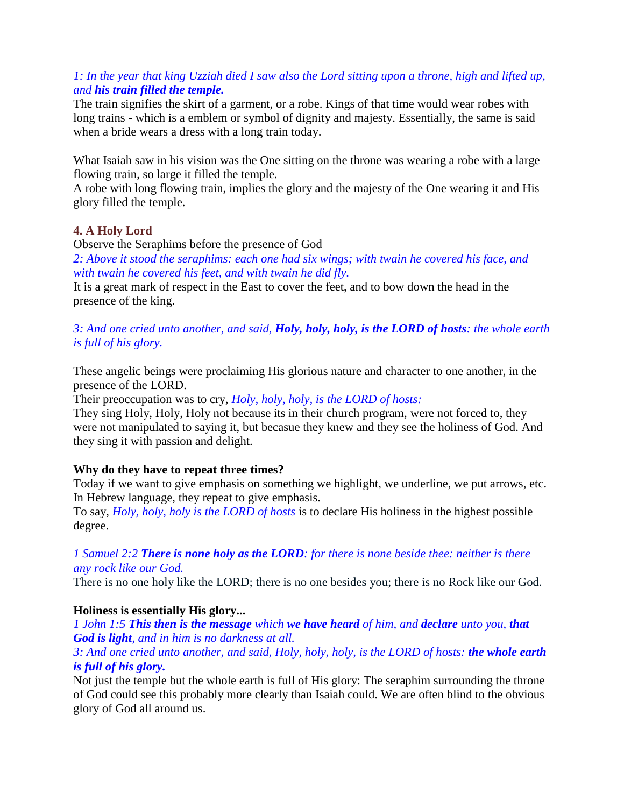# *1: In the year that king Uzziah died I saw also the Lord sitting upon a throne, high and lifted up, and his train filled the temple.*

The train signifies the skirt of a garment, or a robe. Kings of that time would wear robes with long trains - which is a emblem or symbol of dignity and majesty. Essentially, the same is said when a bride wears a dress with a long train today.

What Isaiah saw in his vision was the One sitting on the throne was wearing a robe with a large flowing train, so large it filled the temple.

A robe with long flowing train, implies the glory and the majesty of the One wearing it and His glory filled the temple.

## **4. A Holy Lord**

Observe the Seraphims before the presence of God

*2: Above it stood the seraphims: each one had six wings; with twain he covered his face, and with twain he covered his feet, and with twain he did fly.* 

It is a great mark of respect in the East to cover the feet, and to bow down the head in the presence of the king.

## *3: And one cried unto another, and said, Holy, holy, holy, is the LORD of hosts: the whole earth is full of his glory.*

These angelic beings were proclaiming His glorious nature and character to one another, in the presence of the LORD.

Their preoccupation was to cry, *Holy, holy, holy, is the LORD of hosts:*

They sing Holy, Holy, Holy not because its in their church program, were not forced to, they were not manipulated to saying it, but becasue they knew and they see the holiness of God. And they sing it with passion and delight.

## **Why do they have to repeat three times?**

Today if we want to give emphasis on something we highlight, we underline, we put arrows, etc. In Hebrew language, they repeat to give emphasis.

To say, *Holy, holy, holy is the LORD of hosts* is to declare His holiness in the highest possible degree.

### *1 Samuel 2:2 There is none holy as the LORD: for there is none beside thee: neither is there any rock like our God.*

There is no one holy like the LORD; there is no one besides you; there is no Rock like our God.

## **Holiness is essentially His glory...**

*1 John 1:5 This then is the message which we have heard of him, and declare unto you, that God is light, and in him is no darkness at all.*

## *3: And one cried unto another, and said, Holy, holy, holy, is the LORD of hosts: the whole earth is full of his glory.*

Not just the temple but the whole earth is full of His glory: The seraphim surrounding the throne of God could see this probably more clearly than Isaiah could. We are often blind to the obvious glory of God all around us.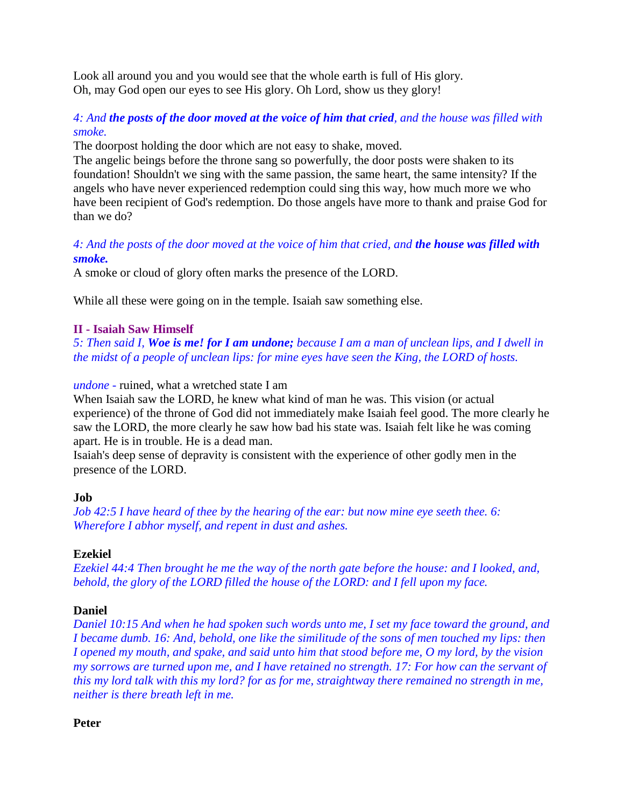Look all around you and you would see that the whole earth is full of His glory. Oh, may God open our eyes to see His glory. Oh Lord, show us they glory!

## *4: And the posts of the door moved at the voice of him that cried, and the house was filled with smoke.*

The doorpost holding the door which are not easy to shake, moved.

The angelic beings before the throne sang so powerfully, the door posts were shaken to its foundation! Shouldn't we sing with the same passion, the same heart, the same intensity? If the angels who have never experienced redemption could sing this way, how much more we who have been recipient of God's redemption. Do those angels have more to thank and praise God for than we do?

# *4: And the posts of the door moved at the voice of him that cried, and the house was filled with smoke.*

A smoke or cloud of glory often marks the presence of the LORD.

While all these were going on in the temple. Isaiah saw something else.

### **II - Isaiah Saw Himself**

*5: Then said I, Woe is me! for I am undone; because I am a man of unclean lips, and I dwell in the midst of a people of unclean lips: for mine eyes have seen the King, the LORD of hosts.* 

*undone -* ruined, what a wretched state I am

When Isaiah saw the LORD, he knew what kind of man he was. This vision (or actual experience) of the throne of God did not immediately make Isaiah feel good. The more clearly he saw the LORD, the more clearly he saw how bad his state was. Isaiah felt like he was coming apart. He is in trouble. He is a dead man.

Isaiah's deep sense of depravity is consistent with the experience of other godly men in the presence of the LORD.

### **Job**

*Job 42:5 I have heard of thee by the hearing of the ear: but now mine eye seeth thee. 6: Wherefore I abhor myself, and repent in dust and ashes.*

### **Ezekiel**

*Ezekiel 44:4 Then brought he me the way of the north gate before the house: and I looked, and, behold, the glory of the LORD filled the house of the LORD: and I fell upon my face.*

## **Daniel**

*Daniel 10:15 And when he had spoken such words unto me, I set my face toward the ground, and I became dumb. 16: And, behold, one like the similitude of the sons of men touched my lips: then I opened my mouth, and spake, and said unto him that stood before me, O my lord, by the vision my sorrows are turned upon me, and I have retained no strength. 17: For how can the servant of this my lord talk with this my lord? for as for me, straightway there remained no strength in me, neither is there breath left in me.*

**Peter**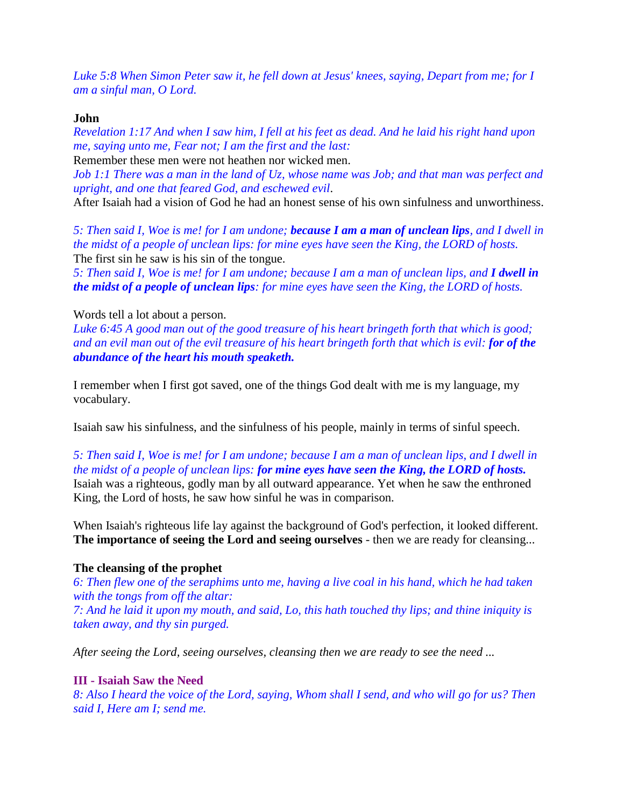*Luke 5:8 When Simon Peter saw it, he fell down at Jesus' knees, saying, Depart from me; for I am a sinful man, O Lord.*

#### **John**

*Revelation 1:17 And when I saw him, I fell at his feet as dead. And he laid his right hand upon me, saying unto me, Fear not; I am the first and the last:*

Remember these men were not heathen nor wicked men.

*Job 1:1 There was a man in the land of Uz, whose name was Job; and that man was perfect and upright, and one that feared God, and eschewed evil*.

After Isaiah had a vision of God he had an honest sense of his own sinfulness and unworthiness.

*5: Then said I, Woe is me! for I am undone; because I am a man of unclean lips, and I dwell in the midst of a people of unclean lips: for mine eyes have seen the King, the LORD of hosts.*  The first sin he saw is his sin of the tongue.

5: Then said I, Woe is me! for I am undone; because I am a man of unclean lips, and **I dwell in** *the midst of a people of unclean lips: for mine eyes have seen the King, the LORD of hosts.* 

#### Words tell a lot about a person.

*Luke 6:45 A good man out of the good treasure of his heart bringeth forth that which is good; and an evil man out of the evil treasure of his heart bringeth forth that which is evil: for of the abundance of the heart his mouth speaketh.*

I remember when I first got saved, one of the things God dealt with me is my language, my vocabulary.

Isaiah saw his sinfulness, and the sinfulness of his people, mainly in terms of sinful speech.

*5: Then said I, Woe is me! for I am undone; because I am a man of unclean lips, and I dwell in the midst of a people of unclean lips: for mine eyes have seen the King, the LORD of hosts.*  Isaiah was a righteous, godly man by all outward appearance. Yet when he saw the enthroned King, the Lord of hosts, he saw how sinful he was in comparison.

When Isaiah's righteous life lay against the background of God's perfection, it looked different. **The importance of seeing the Lord and seeing ourselves** - then we are ready for cleansing...

### **The cleansing of the prophet**

*6: Then flew one of the seraphims unto me, having a live coal in his hand, which he had taken with the tongs from off the altar: 7: And he laid it upon my mouth, and said, Lo, this hath touched thy lips; and thine iniquity is taken away, and thy sin purged.* 

*After seeing the Lord, seeing ourselves, cleansing then we are ready to see the need ...*

### **III - Isaiah Saw the Need**

*8: Also I heard the voice of the Lord, saying, Whom shall I send, and who will go for us? Then said I, Here am I; send me.*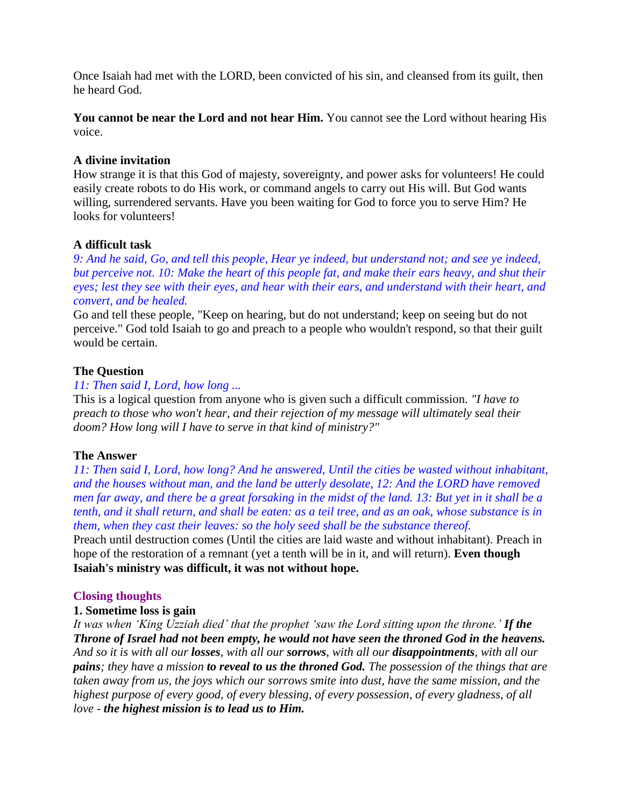Once Isaiah had met with the LORD, been convicted of his sin, and cleansed from its guilt, then he heard God.

**You cannot be near the Lord and not hear Him.** You cannot see the Lord without hearing His voice.

### **A divine invitation**

How strange it is that this God of majesty, sovereignty, and power asks for volunteers! He could easily create robots to do His work, or command angels to carry out His will. But God wants willing, surrendered servants. Have you been waiting for God to force you to serve Him? He looks for volunteers!

### **A difficult task**

*9: And he said, Go, and tell this people, Hear ye indeed, but understand not; and see ye indeed, but perceive not. 10: Make the heart of this people fat, and make their ears heavy, and shut their eyes; lest they see with their eyes, and hear with their ears, and understand with their heart, and convert, and be healed.* 

Go and tell these people, "Keep on hearing, but do not understand; keep on seeing but do not perceive." God told Isaiah to go and preach to a people who wouldn't respond, so that their guilt would be certain.

### **The Question**

### *11: Then said I, Lord, how long ...*

This is a logical question from anyone who is given such a difficult commission. *"I have to preach to those who won't hear, and their rejection of my message will ultimately seal their doom? How long will I have to serve in that kind of ministry?"*

### **The Answer**

*11: Then said I, Lord, how long? And he answered, Until the cities be wasted without inhabitant, and the houses without man, and the land be utterly desolate, 12: And the LORD have removed men far away, and there be a great forsaking in the midst of the land. 13: But yet in it shall be a tenth, and it shall return, and shall be eaten: as a teil tree, and as an oak, whose substance is in them, when they cast their leaves: so the holy seed shall be the substance thereof.*

Preach until destruction comes (Until the cities are laid waste and without inhabitant). Preach in hope of the restoration of a remnant (yet a tenth will be in it, and will return). **Even though Isaiah's ministry was difficult, it was not without hope.**

## **Closing thoughts**

### **1. Sometime loss is gain**

*It was when 'King Uzziah died' that the prophet 'saw the Lord sitting upon the throne.' If the Throne of Israel had not been empty, he would not have seen the throned God in the heavens. And so it is with all our losses, with all our sorrows, with all our disappointments, with all our pains; they have a mission to reveal to us the throned God. The possession of the things that are taken away from us, the joys which our sorrows smite into dust, have the same mission, and the highest purpose of every good, of every blessing, of every possession, of every gladness, of all love - the highest mission is to lead us to Him.*